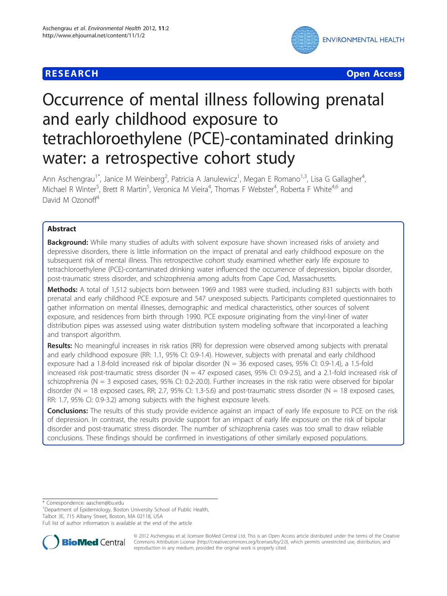



# Occurrence of mental illness following prenatal and early childhood exposure to tetrachloroethylene (PCE)-contaminated drinking water: a retrospective cohort study

Ann Aschengrau<sup>1\*</sup>, Janice M Weinberg<sup>2</sup>, Patricia A Janulewicz<sup>1</sup>, Megan E Romano<sup>1,3</sup>, Lisa G Gallagher<sup>4</sup> , Michael R Winter<sup>5</sup>, Brett R Martin<sup>5</sup>, Veronica M Vieira<sup>4</sup>, Thomas F Webster<sup>4</sup>, Roberta F White<sup>4,6</sup> and David M Ozonoff<sup>4</sup>

# Abstract

**Background:** While many studies of adults with solvent exposure have shown increased risks of anxiety and depressive disorders, there is little information on the impact of prenatal and early childhood exposure on the subsequent risk of mental illness. This retrospective cohort study examined whether early life exposure to tetrachloroethylene (PCE)-contaminated drinking water influenced the occurrence of depression, bipolar disorder, post-traumatic stress disorder, and schizophrenia among adults from Cape Cod, Massachusetts.

Methods: A total of 1,512 subjects born between 1969 and 1983 were studied, including 831 subjects with both prenatal and early childhood PCE exposure and 547 unexposed subjects. Participants completed questionnaires to gather information on mental illnesses, demographic and medical characteristics, other sources of solvent exposure, and residences from birth through 1990. PCE exposure originating from the vinyl-liner of water distribution pipes was assessed using water distribution system modeling software that incorporated a leaching and transport algorithm.

Results: No meaningful increases in risk ratios (RR) for depression were observed among subjects with prenatal and early childhood exposure (RR: 1.1, 95% CI: 0.9-1.4). However, subjects with prenatal and early childhood exposure had a 1.8-fold increased risk of bipolar disorder (N = 36 exposed cases, 95% CI: 0.9-1.4), a 1.5-fold increased risk post-traumatic stress disorder ( $N = 47$  exposed cases, 95% CI: 0.9-2.5), and a 2.1-fold increased risk of schizophrenia (N = 3 exposed cases, 95% CI: 0.2-20.0). Further increases in the risk ratio were observed for bipolar disorder ( $N = 18$  exposed cases, RR; 2.7, 95% CI: 1.3-5.6) and post-traumatic stress disorder ( $N = 18$  exposed cases, RR: 1.7, 95% CI: 0.9-3.2) among subjects with the highest exposure levels.

Conclusions: The results of this study provide evidence against an impact of early life exposure to PCE on the risk of depression. In contrast, the results provide support for an impact of early life exposure on the risk of bipolar disorder and post-traumatic stress disorder. The number of schizophrenia cases was too small to draw reliable conclusions. These findings should be confirmed in investigations of other similarly exposed populations.

\* Correspondence: [aaschen@bu.edu](mailto:aaschen@bu.edu)

<sup>1</sup>Department of Epidemiology, Boston University School of Public Health, Talbot 3E, 715 Albany Street, Boston, MA 02118, USA

Full list of author information is available at the end of the article



© 2012 Aschengrau et al; licensee BioMed Central Ltd. This is an Open Access article distributed under the terms of the Creative Commons Attribution License [\(http://creativecommons.org/licenses/by/2.0](http://creativecommons.org/licenses/by/2.0)), which permits unrestricted use, distribution, and reproduction in any medium, provided the original work is properly cited.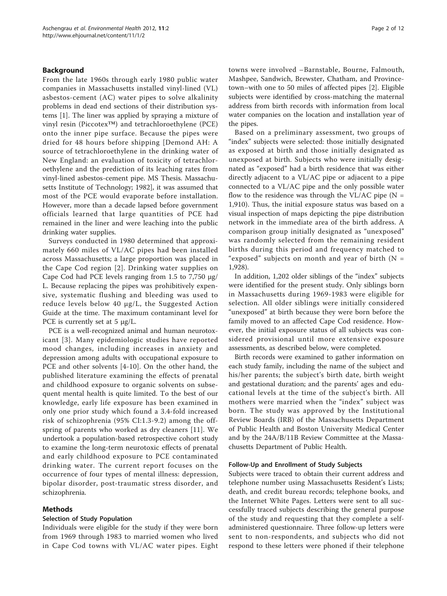# Background

From the late 1960s through early 1980 public water companies in Massachusetts installed vinyl-lined (VL) asbestos-cement (AC) water pipes to solve alkalinity problems in dead end sections of their distribution systems [[1\]](#page-10-0). The liner was applied by spraying a mixture of vinyl resin (Piccotex™) and tetrachloroethylene (PCE) onto the inner pipe surface. Because the pipes were dried for 48 hours before shipping [Demond AH: A source of tetrachloroethylene in the drinking water of New England: an evaluation of toxicity of tetrachloroethylene and the prediction of its leaching rates from vinyl-lined asbestos-cement pipe. MS Thesis. Massachusetts Institute of Technology; 1982], it was assumed that most of the PCE would evaporate before installation. However, more than a decade lapsed before government officials learned that large quantities of PCE had remained in the liner and were leaching into the public drinking water supplies.

Surveys conducted in 1980 determined that approximately 660 miles of VL/AC pipes had been installed across Massachusetts; a large proportion was placed in the Cape Cod region [[2](#page-10-0)]. Drinking water supplies on Cape Cod had PCE levels ranging from 1.5 to 7,750 μg/ L. Because replacing the pipes was prohibitively expensive, systematic flushing and bleeding was used to reduce levels below 40 μg/L, the Suggested Action Guide at the time. The maximum contaminant level for PCE is currently set at  $5 \mu g/L$ .

PCE is a well-recognized animal and human neurotoxicant [[3](#page-10-0)]. Many epidemiologic studies have reported mood changes, including increases in anxiety and depression among adults with occupational exposure to PCE and other solvents [[4-10](#page-10-0)]. On the other hand, the published literature examining the effects of prenatal and childhood exposure to organic solvents on subsequent mental health is quite limited. To the best of our knowledge, early life exposure has been examined in only one prior study which found a 3.4-fold increased risk of schizophrenia (95% CI:1.3-9.2) among the offspring of parents who worked as dry cleaners [\[11](#page-10-0)]. We undertook a population-based retrospective cohort study to examine the long-term neurotoxic effects of prenatal and early childhood exposure to PCE contaminated drinking water. The current report focuses on the occurrence of four types of mental illness: depression, bipolar disorder, post-traumatic stress disorder, and schizophrenia.

# Methods

# Selection of Study Population

Individuals were eligible for the study if they were born from 1969 through 1983 to married women who lived in Cape Cod towns with VL/AC water pipes. Eight towns were involved –Barnstable, Bourne, Falmouth, Mashpee, Sandwich, Brewster, Chatham, and Provincetown–with one to 50 miles of affected pipes [[2\]](#page-10-0). Eligible subjects were identified by cross-matching the maternal address from birth records with information from local water companies on the location and installation year of the pipes.

Based on a preliminary assessment, two groups of "index" subjects were selected: those initially designated as exposed at birth and those initially designated as unexposed at birth. Subjects who were initially designated as "exposed" had a birth residence that was either directly adjacent to a VL/AC pipe or adjacent to a pipe connected to a VL/AC pipe and the only possible water flow to the residence was through the VL/AC pipe  $(N =$ 1,910). Thus, the initial exposure status was based on a visual inspection of maps depicting the pipe distribution network in the immediate area of the birth address. A comparison group initially designated as "unexposed" was randomly selected from the remaining resident births during this period and frequency matched to "exposed" subjects on month and year of birth  $(N =$ 1,928).

In addition, 1,202 older siblings of the "index" subjects were identified for the present study. Only siblings born in Massachusetts during 1969-1983 were eligible for selection. All older siblings were initially considered "unexposed" at birth because they were born before the family moved to an affected Cape Cod residence. However, the initial exposure status of all subjects was considered provisional until more extensive exposure assessments, as described below, were completed.

Birth records were examined to gather information on each study family, including the name of the subject and his/her parents; the subject's birth date, birth weight and gestational duration; and the parents' ages and educational levels at the time of the subject's birth. All mothers were married when the "index" subject was born. The study was approved by the Institutional Review Boards (IRB) of the Massachusetts Department of Public Health and Boston University Medical Center and by the 24A/B/11B Review Committee at the Massachusetts Department of Public Health.

#### Follow-Up and Enrollment of Study Subjects

Subjects were traced to obtain their current address and telephone number using Massachusetts Resident's Lists; death, and credit bureau records; telephone books, and the Internet White Pages. Letters were sent to all successfully traced subjects describing the general purpose of the study and requesting that they complete a selfadministered questionnaire. Three follow-up letters were sent to non-respondents, and subjects who did not respond to these letters were phoned if their telephone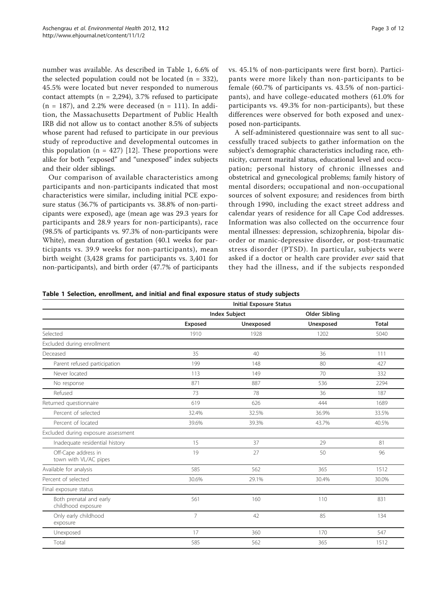<span id="page-2-0"></span>number was available. As described in Table 1, 6.6% of the selected population could not be located  $(n = 332)$ , 45.5% were located but never responded to numerous contact attempts ( $n = 2,294$ ), 3.7% refused to participate  $(n = 187)$ , and 2.2% were deceased  $(n = 111)$ . In addition, the Massachusetts Department of Public Health IRB did not allow us to contact another 8.5% of subjects whose parent had refused to participate in our previous study of reproductive and developmental outcomes in this population  $(n = 427)$  [[12\]](#page-10-0). These proportions were alike for both "exposed" and "unexposed" index subjects and their older siblings.

Our comparison of available characteristics among participants and non-participants indicated that most characteristics were similar, including initial PCE exposure status (36.7% of participants vs. 38.8% of non-participants were exposed), age (mean age was 29.3 years for participants and 28.9 years for non-participants), race (98.5% of participants vs. 97.3% of non-participants were White), mean duration of gestation (40.1 weeks for participants vs. 39.9 weeks for non-participants), mean birth weight (3,428 grams for participants vs. 3,401 for non-participants), and birth order (47.7% of participants vs. 45.1% of non-participants were first born). Participants were more likely than non-participants to be female (60.7% of participants vs. 43.5% of non-participants), and have college-educated mothers (61.0% for participants vs. 49.3% for non-participants), but these differences were observed for both exposed and unexposed non-participants.

A self-administered questionnaire was sent to all successfully traced subjects to gather information on the subject's demographic characteristics including race, ethnicity, current marital status, educational level and occupation; personal history of chronic illnesses and obstetrical and gynecological problems; family history of mental disorders; occupational and non-occupational sources of solvent exposure; and residences from birth through 1990, including the exact street address and calendar years of residence for all Cape Cod addresses. Information was also collected on the occurrence four mental illnesses: depression, schizophrenia, bipolar disorder or manic-depressive disorder, or post-traumatic stress disorder (PTSD). In particular, subjects were asked if a doctor or health care provider ever said that they had the illness, and if the subjects responded

|  |  | Table 1 Selection, enrollment, and initial and final exposure status of study subjects |  |  |  |  |  |  |  |  |  |
|--|--|----------------------------------------------------------------------------------------|--|--|--|--|--|--|--|--|--|
|--|--|----------------------------------------------------------------------------------------|--|--|--|--|--|--|--|--|--|

|                                               | <b>Initial Exposure Status</b> |           |                      |              |  |
|-----------------------------------------------|--------------------------------|-----------|----------------------|--------------|--|
|                                               | <b>Index Subject</b>           |           | <b>Older Sibling</b> |              |  |
|                                               | Exposed                        | Unexposed | Unexposed            | <b>Total</b> |  |
| Selected                                      | 1910                           | 1928      | 1202                 | 5040         |  |
| Excluded during enrollment                    |                                |           |                      |              |  |
| Deceased                                      | 35                             | 40        | 36                   | 111          |  |
| Parent refused participation                  | 199                            | 148       | 80                   | 427          |  |
| Never located                                 | 113                            | 149       | 70                   | 332          |  |
| No response                                   | 871                            | 887       | 536                  | 2294         |  |
| Refused                                       | 73                             | 78        | 36                   | 187          |  |
| Returned questionnaire                        | 619                            | 626       | 444                  | 1689         |  |
| Percent of selected                           | 32.4%                          | 32.5%     | 36.9%                | 33.5%        |  |
| Percent of located                            | 39.6%                          | 39.3%     | 43.7%                | 40.5%        |  |
| Excluded during exposure assessment           |                                |           |                      |              |  |
| Inadequate residential history                | 15                             | 37        | 29                   | 81           |  |
| Off-Cape address in<br>town with VL/AC pipes  | 19                             | 27        | 50                   | 96           |  |
| Available for analysis                        | 585                            | 562       | 365                  | 1512         |  |
| Percent of selected                           | 30.6%                          | 29.1%     | 30.4%                | 30.0%        |  |
| Final exposure status                         |                                |           |                      |              |  |
| Both prenatal and early<br>childhood exposure | 561                            | 160       | 110                  | 831          |  |
| Only early childhood<br>exposure              | $\overline{7}$                 | 42        | 85                   | 134          |  |
| Unexposed                                     | 17                             | 360       | 170                  | 547          |  |
| Total                                         | 585                            | 562       | 365                  | 1512         |  |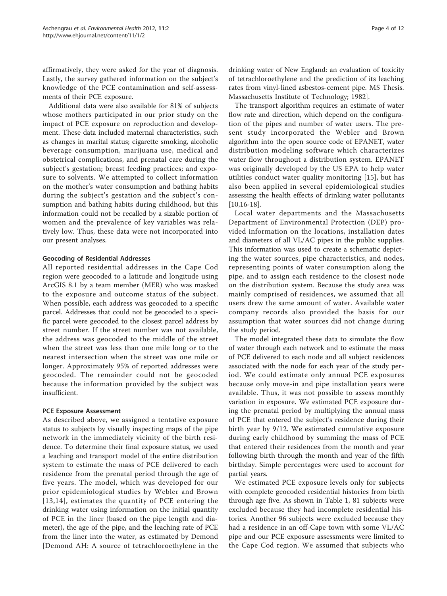affirmatively, they were asked for the year of diagnosis. Lastly, the survey gathered information on the subject's knowledge of the PCE contamination and self-assessments of their PCE exposure.

Additional data were also available for 81% of subjects whose mothers participated in our prior study on the impact of PCE exposure on reproduction and development. These data included maternal characteristics, such as changes in marital status; cigarette smoking, alcoholic beverage consumption, marijuana use, medical and obstetrical complications, and prenatal care during the subject's gestation; breast feeding practices; and exposure to solvents. We attempted to collect information on the mother's water consumption and bathing habits during the subject's gestation and the subject's consumption and bathing habits during childhood, but this information could not be recalled by a sizable portion of women and the prevalence of key variables was relatively low. Thus, these data were not incorporated into our present analyses.

# Geocoding of Residential Addresses

All reported residential addresses in the Cape Cod region were geocoded to a latitude and longitude using ArcGIS 8.1 by a team member (MER) who was masked to the exposure and outcome status of the subject. When possible, each address was geocoded to a specific parcel. Addresses that could not be geocoded to a specific parcel were geocoded to the closest parcel address by street number. If the street number was not available, the address was geocoded to the middle of the street when the street was less than one mile long or to the nearest intersection when the street was one mile or longer. Approximately 95% of reported addresses were geocoded. The remainder could not be geocoded because the information provided by the subject was insufficient.

# PCE Exposure Assessment

As described above, we assigned a tentative exposure status to subjects by visually inspecting maps of the pipe network in the immediately vicinity of the birth residence. To determine their final exposure status, we used a leaching and transport model of the entire distribution system to estimate the mass of PCE delivered to each residence from the prenatal period through the age of five years. The model, which was developed for our prior epidemiological studies by Webler and Brown [[13](#page-10-0),[14](#page-10-0)], estimates the quantity of PCE entering the drinking water using information on the initial quantity of PCE in the liner (based on the pipe length and diameter), the age of the pipe, and the leaching rate of PCE from the liner into the water, as estimated by Demond [Demond AH: A source of tetrachloroethylene in the drinking water of New England: an evaluation of toxicity of tetrachloroethylene and the prediction of its leaching rates from vinyl-lined asbestos-cement pipe. MS Thesis. Massachusetts Institute of Technology; 1982].

The transport algorithm requires an estimate of water flow rate and direction, which depend on the configuration of the pipes and number of water users. The present study incorporated the Webler and Brown algorithm into the open source code of EPANET, water distribution modeling software which characterizes water flow throughout a distribution system. EPANET was originally developed by the US EPA to help water utilities conduct water quality monitoring [[15\]](#page-10-0), but has also been applied in several epidemiological studies assessing the health effects of drinking water pollutants [[10,16-18\]](#page-10-0).

Local water departments and the Massachusetts Department of Environmental Protection (DEP) provided information on the locations, installation dates and diameters of all VL/AC pipes in the public supplies. This information was used to create a schematic depicting the water sources, pipe characteristics, and nodes, representing points of water consumption along the pipe, and to assign each residence to the closest node on the distribution system. Because the study area was mainly comprised of residences, we assumed that all users drew the same amount of water. Available water company records also provided the basis for our assumption that water sources did not change during the study period.

The model integrated these data to simulate the flow of water through each network and to estimate the mass of PCE delivered to each node and all subject residences associated with the node for each year of the study period. We could estimate only annual PCE exposures because only move-in and pipe installation years were available. Thus, it was not possible to assess monthly variation in exposure. We estimated PCE exposure during the prenatal period by multiplying the annual mass of PCE that entered the subject's residence during their birth year by 9/12. We estimated cumulative exposure during early childhood by summing the mass of PCE that entered their residences from the month and year following birth through the month and year of the fifth birthday. Simple percentages were used to account for partial years.

We estimated PCE exposure levels only for subjects with complete geocoded residential histories from birth through age five. As shown in Table [1](#page-2-0), 81 subjects were excluded because they had incomplete residential histories. Another 96 subjects were excluded because they had a residence in an off-Cape town with some VL/AC pipe and our PCE exposure assessments were limited to the Cape Cod region. We assumed that subjects who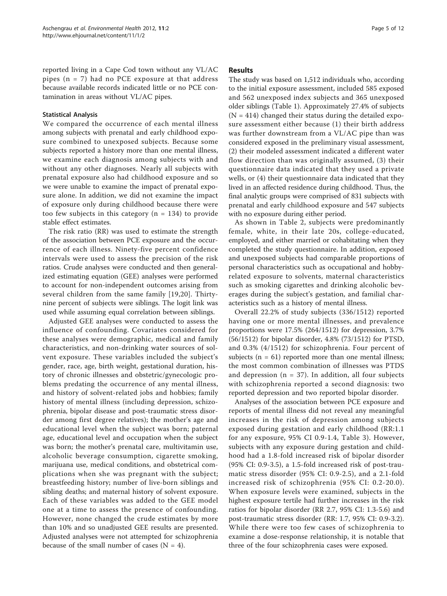reported living in a Cape Cod town without any VL/AC pipes (n = 7) had no PCE exposure at that address because available records indicated little or no PCE contamination in areas without VL/AC pipes.

#### Statistical Analysis

We compared the occurrence of each mental illness among subjects with prenatal and early childhood exposure combined to unexposed subjects. Because some subjects reported a history more than one mental illness, we examine each diagnosis among subjects with and without any other diagnoses. Nearly all subjects with prenatal exposure also had childhood exposure and so we were unable to examine the impact of prenatal exposure alone. In addition, we did not examine the impact of exposure only during childhood because there were too few subjects in this category  $(n = 134)$  to provide stable effect estimates.

The risk ratio (RR) was used to estimate the strength of the association between PCE exposure and the occurrence of each illness. Ninety-five percent confidence intervals were used to assess the precision of the risk ratios. Crude analyses were conducted and then generalized estimating equation (GEE) analyses were performed to account for non-independent outcomes arising from several children from the same family [[19,20\]](#page-10-0). Thirtynine percent of subjects were siblings. The logit link was used while assuming equal correlation between siblings.

Adjusted GEE analyses were conducted to assess the influence of confounding. Covariates considered for these analyses were demographic, medical and family characteristics, and non-drinking water sources of solvent exposure. These variables included the subject's gender, race, age, birth weight, gestational duration, history of chronic illnesses and obstetric/gynecologic problems predating the occurrence of any mental illness, and history of solvent-related jobs and hobbies; family history of mental illness (including depression, schizophrenia, bipolar disease and post-traumatic stress disorder among first degree relatives); the mother's age and educational level when the subject was born; paternal age, educational level and occupation when the subject was born; the mother's prenatal care, multivitamin use, alcoholic beverage consumption, cigarette smoking, marijuana use, medical conditions, and obstetrical complications when she was pregnant with the subject; breastfeeding history; number of live-born siblings and sibling deaths; and maternal history of solvent exposure. Each of these variables was added to the GEE model one at a time to assess the presence of confounding. However, none changed the crude estimates by more than 10% and so unadjusted GEE results are presented. Adjusted analyses were not attempted for schizophrenia because of the small number of cases  $(N = 4)$ .

#### Results

The study was based on 1,512 individuals who, according to the initial exposure assessment, included 585 exposed and 562 unexposed index subjects and 365 unexposed older siblings (Table [1](#page-2-0)). Approximately 27.4% of subjects  $(N = 414)$  changed their status during the detailed exposure assessment either because (1) their birth address was further downstream from a VL/AC pipe than was considered exposed in the preliminary visual assessment, (2) their modeled assessment indicated a different water flow direction than was originally assumed, (3) their questionnaire data indicated that they used a private wells, or (4) their questionnaire data indicated that they lived in an affected residence during childhood. Thus, the final analytic groups were comprised of 831 subjects with prenatal and early childhood exposure and 547 subjects with no exposure during either period.

As shown in Table [2,](#page-5-0) subjects were predominantly female, white, in their late 20s, college-educated, employed, and either married or cohabitating when they completed the study questionnaire. In addition, exposed and unexposed subjects had comparable proportions of personal characteristics such as occupational and hobbyrelated exposure to solvents, maternal characteristics such as smoking cigarettes and drinking alcoholic beverages during the subject's gestation, and familial characteristics such as a history of mental illness.

Overall 22.2% of study subjects (336/1512) reported having one or more mental illnesses, and prevalence proportions were 17.5% (264/1512) for depression, 3.7% (56/1512) for bipolar disorder, 4.8% (73/1512) for PTSD, and 0.3% (4/1512) for schizophrenia. Four percent of subjects  $(n = 61)$  reported more than one mental illness; the most common combination of illnesses was PTDS and depression ( $n = 37$ ). In addition, all four subjects with schizophrenia reported a second diagnosis: two reported depression and two reported bipolar disorder.

Analyses of the association between PCE exposure and reports of mental illness did not reveal any meaningful increases in the risk of depression among subjects exposed during gestation and early childhood (RR:1.1 for any exposure, 95% CI 0.9-1.4, Table [3](#page-7-0)). However, subjects with any exposure during gestation and childhood had a 1.8-fold increased risk of bipolar disorder (95% CI: 0.9-3.5), a 1.5-fold increased risk of post-traumatic stress disorder (95% CI: 0.9-2.5), and a 2.1-fold increased risk of schizophrenia (95% CI: 0.2-20.0). When exposure levels were examined, subjects in the highest exposure tertile had further increases in the risk ratios for bipolar disorder (RR 2.7, 95% CI: 1.3-5.6) and post-traumatic stress disorder (RR: 1.7, 95% CI: 0.9-3.2). While there were too few cases of schizophrenia to examine a dose-response relationship, it is notable that three of the four schizophrenia cases were exposed.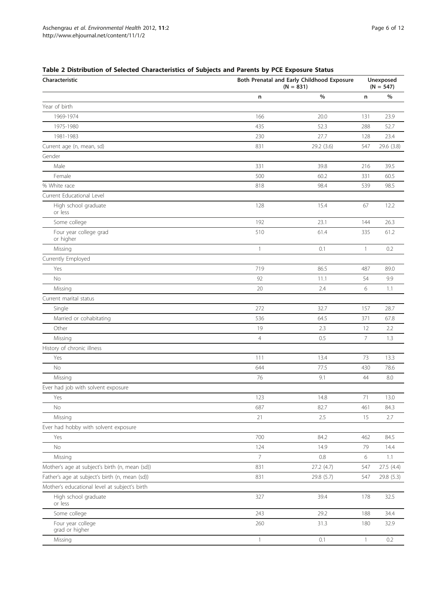<span id="page-5-0"></span>

| Characteristic                                 | Both Prenatal and Early Childhood Exposure<br>$(N = 831)$ |            |                | Unexposed<br>$(N = 547)$ |  |
|------------------------------------------------|-----------------------------------------------------------|------------|----------------|--------------------------|--|
|                                                | n                                                         | $\%$       | n              | %                        |  |
| Year of birth                                  |                                                           |            |                |                          |  |
| 1969-1974                                      | 166                                                       | 20.0       | 131            | 23.9                     |  |
| 1975-1980                                      | 435                                                       | 52.3       | 288            | 52.7                     |  |
| 1981-1983                                      | 230                                                       | 27.7       | 128            | 23.4                     |  |
| Current age (n, mean, sd)                      | 831                                                       | 29.2 (3.6) | 547            | 29.6 (3.8)               |  |
| Gender                                         |                                                           |            |                |                          |  |
| Male                                           | 331                                                       | 39.8       | 216            | 39.5                     |  |
| Female                                         | 500                                                       | 60.2       | 331            | 60.5                     |  |
| % White race                                   | 818                                                       | 98.4       | 539            | 98.5                     |  |
| Current Educational Level                      |                                                           |            |                |                          |  |
| High school graduate<br>or less                | 128                                                       | 15.4       | 67             | 12.2                     |  |
| Some college                                   | 192                                                       | 23.1       | 144            | 26.3                     |  |
| Four year college grad<br>or higher            | 510                                                       | 61.4       | 335            | 61.2                     |  |
| Missing                                        | $\mathbf{1}$                                              | 0.1        | $\mathbf{1}$   | 0.2                      |  |
| Currently Employed                             |                                                           |            |                |                          |  |
| Yes                                            | 719                                                       | 86.5       | 487            | 89.0                     |  |
| No                                             | 92                                                        | 11.1       | 54             | 9.9                      |  |
| Missing                                        | 20                                                        | 2.4        | 6              | 1.1                      |  |
| Current marital status                         |                                                           |            |                |                          |  |
| Single                                         | 272                                                       | 32.7       | 157            | 28.7                     |  |
| Married or cohabitating                        | 536                                                       | 64.5       | 371            | 67.8                     |  |
| Other                                          | 19                                                        | 2.3        | 12             | 2.2                      |  |
| Missing                                        | $\overline{4}$                                            | 0.5        | $\overline{7}$ | 1.3                      |  |
| History of chronic illness                     |                                                           |            |                |                          |  |
| Yes                                            | 111                                                       | 13.4       | 73             | 13.3                     |  |
| No                                             | 644                                                       | 77.5       | 430            | 78.6                     |  |
| Missing                                        | 76                                                        | 9.1        | 44             | 8.0                      |  |
| Ever had job with solvent exposure             |                                                           |            |                |                          |  |
| Yes                                            | 123                                                       | 14.8       | 71             | 13.0                     |  |
| No                                             | 687                                                       | 82.7       | 461            | 84.3                     |  |
| Missing                                        | 21                                                        | 2.5        | 15             | 2.7                      |  |
| Ever had hobby with solvent exposure           |                                                           |            |                |                          |  |
| Yes                                            | 700                                                       | 84.2       | 462            | 84.5                     |  |
| No                                             | 124                                                       | 14.9       | 79             | 14.4                     |  |
| Missing                                        | $\overline{7}$                                            | $0.8\,$    | 6              | $1.1\,$                  |  |
| Mother's age at subject's birth (n, mean (sd)) | 831                                                       | 27.2 (4.7) | 547            | 27.5 (4.4)               |  |
| Father's age at subject's birth (n, mean (sd)) | 831                                                       | 29.8 (5.7) | 547            | 29.8 (5.3)               |  |
| Mother's educational level at subject's birth  |                                                           |            |                |                          |  |
| High school graduate<br>or less                | 327                                                       | 39.4       | 178            | 32.5                     |  |
| Some college                                   | 243                                                       | 29.2       | 188            | 34.4                     |  |
| Four year college<br>grad or higher            | 260                                                       | 31.3       | 180            | 32.9                     |  |
| Missing                                        | $\mathbf{1}$                                              | 0.1        | $\mathbf{1}$   | $0.2\,$                  |  |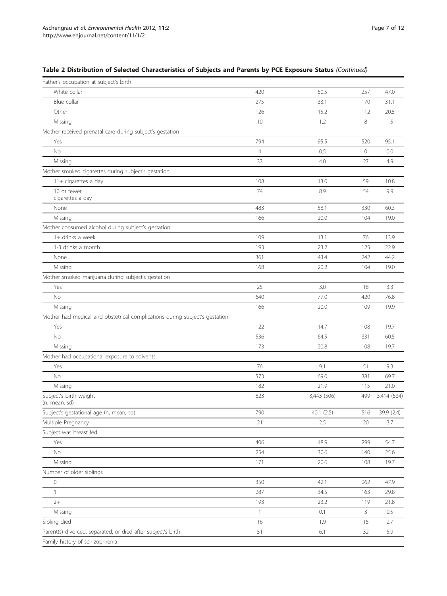| Father's occupation at subject's birth                                      |                |             |         |             |
|-----------------------------------------------------------------------------|----------------|-------------|---------|-------------|
| White collar                                                                | 420            | 50.5        | 257     | 47.0        |
| Blue collar                                                                 | 275            | 33.1        | 170     | 31.1        |
| Other                                                                       | 126            | 15.2        | 112     | 20.5        |
| Missing                                                                     | 10             | 1.2         | 8       | 1.5         |
| Mother received prenatal care during subject's gestation                    |                |             |         |             |
| Yes                                                                         | 794            | 95.5        | 520     | 95.1        |
| No                                                                          | $\overline{4}$ | 0.5         | $\circ$ | 0.0         |
| Missing                                                                     | 33             | 4.0         | 27      | 4.9         |
| Mother smoked cigarettes during subject's gestation                         |                |             |         |             |
| 11+ cigarettes a day                                                        | 108            | 13.0        | 59      | 10.8        |
| 10 or fewer                                                                 | 74             | 8.9         | 54      | 9.9         |
| cigarettes a day                                                            |                |             |         |             |
| None                                                                        | 483            | 58.1        | 330     | 60.3        |
| Missing                                                                     | 166            | 20.0        | 104     | 19.0        |
| Mother consumed alcohol during subject's gestation                          |                |             |         |             |
| 1+ drinks a week                                                            | 109            | 13.1        | 76      | 13.9        |
| 1-3 drinks a month                                                          | 193            | 23.2        | 125     | 22.9        |
| None                                                                        | 361            | 43.4        | 242     | 44.2        |
| Missing                                                                     | 168            | 20.2        | 104     | 19.0        |
| Mother smoked marijuana during subject's gestation                          |                |             |         |             |
| Yes                                                                         | 25             | 3.0         | 18      | 3.3         |
| No                                                                          | 640            | 77.0        | 420     | 76.8        |
| Missing                                                                     | 166            | 20.0        | 109     | 19.9        |
| Mother had medical and obstetrical complications during subject's gestation |                |             |         |             |
| Yes                                                                         | 122            | 14.7        | 108     | 19.7        |
| No                                                                          | 536            | 64.5        | 331     | 60.5        |
| Missing                                                                     | 173            | 20.8        | 108     | 19.7        |
| Mother had occupational exposure to solvents                                |                |             |         |             |
| Yes                                                                         | 76             | 9.1         | 51      | 9.3         |
| No                                                                          | 573            | 69.0        | 381     | 69.7        |
| Missing                                                                     | 182            | 21.9        | 115     | 21.0        |
| Subject's birth weight<br>(n, mean, sd)                                     | 823            | 3,443 (506) | 499     | 3,414 (534) |
| Subject's gestational age (n, mean, sd)                                     | 790            | 40.1(2.5)   | 516     | 39.9 (2.4)  |
| Multiple Pregnancy                                                          | 21             | 2.5         | 20      | 3.7         |
| Subject was breast fed                                                      |                |             |         |             |
| Yes                                                                         | 406            | 48.9        | 299     | 54.7        |
| No                                                                          | 254            | 30.6        | 140     | 25.6        |
| Missing                                                                     | 171            | 20.6        | 108     | 19.7        |
| Number of older siblings                                                    |                |             |         |             |
| 0                                                                           | 350            | 42.1        | 262     | 47.9        |
| $\overline{1}$                                                              | 287            | 34.5        | 163     | 29.8        |
| $2+$                                                                        | 193            | 23.2        | 119     | 21.8        |
| Missing                                                                     | $\mathbf{1}$   | 0.1         | 3       | 0.5         |
| Sibling died                                                                | 16             | 1.9         | 15      | 2.7         |
| Parent(s) divorced, separated, or died after subject's birth                | 51             | 6.1         | 32      | 5.9         |
| Family history of schizophrenia                                             |                |             |         |             |

# Table 2 Distribution of Selected Characteristics of Subjects and Parents by PCE Exposure Status (Continued)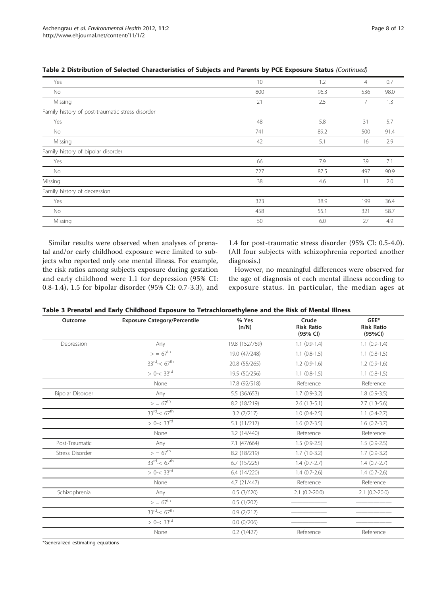| Yes                                              | 10  | 1.2  | $\overline{4}$ | 0.7  |
|--------------------------------------------------|-----|------|----------------|------|
| No                                               | 800 | 96.3 | 536            | 98.0 |
| Missing                                          | 21  | 2.5  | 7              | 1.3  |
| Family history of post-traumatic stress disorder |     |      |                |      |
| Yes                                              | 48  | 5.8  | 31             | 5.7  |
| No                                               | 741 | 89.2 | 500            | 91.4 |
| Missing                                          | 42  | 5.1  | 16             | 2.9  |
| Family history of bipolar disorder               |     |      |                |      |
| Yes                                              | 66  | 7.9  | 39             | 7.1  |
| No                                               | 727 | 87.5 | 497            | 90.9 |
| Missing                                          | 38  | 4.6  | 11             | 2.0  |
| Family history of depression                     |     |      |                |      |
| Yes                                              | 323 | 38.9 | 199            | 36.4 |
| <b>No</b>                                        | 458 | 55.1 | 321            | 58.7 |
| Missing                                          | 50  | 6.0  | 27             | 4.9  |

<span id="page-7-0"></span>Table 2 Distribution of Selected Characteristics of Subjects and Parents by PCE Exposure Status (Continued)

Similar results were observed when analyses of prenatal and/or early childhood exposure were limited to subjects who reported only one mental illness. For example, the risk ratios among subjects exposure during gestation and early childhood were 1.1 for depression (95% CI: 0.8-1.4), 1.5 for bipolar disorder (95% CI: 0.7-3.3), and

1.4 for post-traumatic stress disorder (95% CI: 0.5-4.0). (All four subjects with schizophrenia reported another diagnosis.)

However, no meaningful differences were observed for the age of diagnosis of each mental illness according to exposure status. In particular, the median ages at

| Table 3 Prenatal and Early Childhood Exposure to Tetrachloroethylene and the Risk of Mental Illness |  |
|-----------------------------------------------------------------------------------------------------|--|
|-----------------------------------------------------------------------------------------------------|--|

| Outcome          | <b>Exposure Category/Percentile</b> | % Yes<br>(n/N) | Crude<br><b>Risk Ratio</b><br>(95% CI) | $GEE*$<br><b>Risk Ratio</b><br>(95%CI) |
|------------------|-------------------------------------|----------------|----------------------------------------|----------------------------------------|
| Depression       | Any                                 | 19.8 (152/769) | $1.1(0.9-1.4)$                         | $1.1 (0.9-1.4)$                        |
|                  | $> 67^{\text{th}}$                  | 19.0 (47/248)  | $1.1(0.8-1.5)$                         | $1.1$ $(0.8-1.5)$                      |
|                  | $33^{rd} < 67^{th}$                 | 20.8 (55/265)  | $1.2(0.9-1.6)$                         | $1.2(0.9-1.6)$                         |
|                  | $> 0 - < 33$ rd                     | 19.5 (50/256)  | $1.1(0.8-1.5)$                         | $1.1$ $(0.8-1.5)$                      |
|                  | None                                | 17.8 (92/518)  | Reference                              | Reference                              |
| Bipolar Disorder | Any                                 | 5.5 (36/653)   | $1.7(0.9-3.2)$                         | $1.8(0.9-3.5)$                         |
|                  | $> 67^{\text{th}}$                  | 8.2 (18/219)   | $2.6(1.3-5.1)$                         | $2.7(1.3-5.6)$                         |
|                  | $33^{rd} < 67^{th}$                 | 3.2(7/217)     | $1.0(0.4-2.5)$                         | $1.1(0.4-2.7)$                         |
|                  | $> 0 - < 33$ <sup>rd</sup>          | 5.1(11/217)    | $1.6(0.7-3.5)$                         | $1.6(0.7-3.7)$                         |
|                  | None                                | 3.2 (14/440)   | Reference                              | Reference                              |
| Post-Traumatic   | Any                                 | 7.1 (47/664)   | $1.5(0.9-2.5)$                         | $1.5(0.9-2.5)$                         |
| Stress Disorder  | $> 67^{\text{th}}$                  | 8.2 (18/219)   | $1.7(1.0-3.2)$                         | $1.7(0.9-3.2)$                         |
|                  | $33^{rd} < 67^{th}$                 | 6.7(15/225)    | $1.4(0.7-2.7)$                         | $1.4(0.7-2.7)$                         |
|                  | $> 0 - < 33$ <sup>rd</sup>          | 6.4(14/220)    | $1.4(0.7-2.6)$                         | $1.4(0.7-2.6)$                         |
|                  | None                                | 4.7 (21/447)   | Reference                              | Reference                              |
| Schizophrenia    | Any                                 | 0.5(3/620)     | $2.1$ (0.2-20.0)                       | $2.1$ (0.2-20.0)                       |
|                  | $> 67^{\text{th}}$                  | 0.5(1/202)     |                                        |                                        |
|                  | $33^{rd} < 67^{th}$                 | 0.9(2/212)     |                                        |                                        |
|                  | $> 0 - < 33$ <sup>rd</sup>          | 0.0(0/206)     |                                        |                                        |
|                  | None                                | $0.2$ (1/427)  | Reference                              | Reference                              |

\*Generalized estimating equations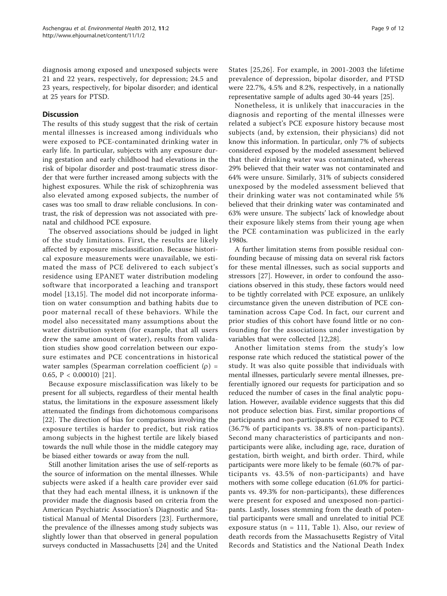diagnosis among exposed and unexposed subjects were 21 and 22 years, respectively, for depression; 24.5 and 23 years, respectively, for bipolar disorder; and identical at 25 years for PTSD.

# **Discussion**

The results of this study suggest that the risk of certain mental illnesses is increased among individuals who were exposed to PCE-contaminated drinking water in early life. In particular, subjects with any exposure during gestation and early childhood had elevations in the risk of bipolar disorder and post-traumatic stress disorder that were further increased among subjects with the highest exposures. While the risk of schizophrenia was also elevated among exposed subjects, the number of cases was too small to draw reliable conclusions. In contrast, the risk of depression was not associated with prenatal and childhood PCE exposure.

The observed associations should be judged in light of the study limitations. First, the results are likely affected by exposure misclassification. Because historical exposure measurements were unavailable, we estimated the mass of PCE delivered to each subject's residence using EPANET water distribution modeling software that incorporated a leaching and transport model [\[13,15](#page-10-0)]. The model did not incorporate information on water consumption and bathing habits due to poor maternal recall of these behaviors. While the model also necessitated many assumptions about the water distribution system (for example, that all users drew the same amount of water), results from validation studies show good correlation between our exposure estimates and PCE concentrations in historical water samples (Spearman correlation coefficient  $(\rho)$  = 0.65,  $P < 0.00010$  [\[21](#page-10-0)].

Because exposure misclassification was likely to be present for all subjects, regardless of their mental health status, the limitations in the exposure assessment likely attenuated the findings from dichotomous comparisons [[22\]](#page-10-0). The direction of bias for comparisons involving the exposure tertiles is harder to predict, but risk ratios among subjects in the highest tertile are likely biased towards the null while those in the middle category may be biased either towards or away from the null.

Still another limitation arises the use of self-reports as the source of information on the mental illnesses. While subjects were asked if a health care provider ever said that they had each mental illness, it is unknown if the provider made the diagnosis based on criteria from the American Psychiatric Association's Diagnostic and Statistical Manual of Mental Disorders [[23\]](#page-10-0). Furthermore, the prevalence of the illnesses among study subjects was slightly lower than that observed in general population surveys conducted in Massachusetts [\[24\]](#page-10-0) and the United States [[25](#page-10-0),[26\]](#page-10-0). For example, in 2001-2003 the lifetime prevalence of depression, bipolar disorder, and PTSD were 22.7%, 4.5% and 8.2%, respectively, in a nationally representative sample of adults aged 30-44 years [\[25](#page-10-0)].

Nonetheless, it is unlikely that inaccuracies in the diagnosis and reporting of the mental illnesses were related a subject's PCE exposure history because most subjects (and, by extension, their physicians) did not know this information. In particular, only 7% of subjects considered exposed by the modeled assessment believed that their drinking water was contaminated, whereas 29% believed that their water was not contaminated and 64% were unsure. Similarly, 31% of subjects considered unexposed by the modeled assessment believed that their drinking water was not contaminated while 5% believed that their drinking water was contaminated and 63% were unsure. The subjects' lack of knowledge about their exposure likely stems from their young age when the PCE contamination was publicized in the early 1980s.

A further limitation stems from possible residual confounding because of missing data on several risk factors for these mental illnesses, such as social supports and stressors [\[27](#page-10-0)]. However, in order to confound the associations observed in this study, these factors would need to be tightly correlated with PCE exposure, an unlikely circumstance given the uneven distribution of PCE contamination across Cape Cod. In fact, our current and prior studies of this cohort have found little or no confounding for the associations under investigation by variables that were collected [\[12,28\]](#page-10-0).

Another limitation stems from the study's low response rate which reduced the statistical power of the study. It was also quite possible that individuals with mental illnesses, particularly severe mental illnesses, preferentially ignored our requests for participation and so reduced the number of cases in the final analytic population. However, available evidence suggests that this did not produce selection bias. First, similar proportions of participants and non-participants were exposed to PCE (36.7% of participants vs. 38.8% of non-participants). Second many characteristics of participants and nonparticipants were alike, including age, race, duration of gestation, birth weight, and birth order. Third, while participants were more likely to be female (60.7% of participants vs. 43.5% of non-participants) and have mothers with some college education (61.0% for participants vs. 49.3% for non-participants), these differences were present for exposed and unexposed non-participants. Lastly, losses stemming from the death of potential participants were small and unrelated to initial PCE exposure status ( $n = 111$  $n = 111$  $n = 111$ , Table 1). Also, our review of death records from the Massachusetts Registry of Vital Records and Statistics and the National Death Index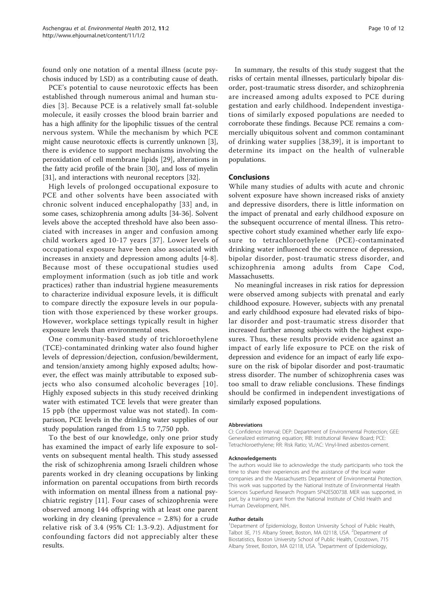found only one notation of a mental illness (acute psychosis induced by LSD) as a contributing cause of death.

PCE's potential to cause neurotoxic effects has been established through numerous animal and human studies [[3](#page-10-0)]. Because PCE is a relatively small fat-soluble molecule, it easily crosses the blood brain barrier and has a high affinity for the lipophilic tissues of the central nervous system. While the mechanism by which PCE might cause neurotoxic effects is currently unknown [\[3](#page-10-0)], there is evidence to support mechanisms involving the peroxidation of cell membrane lipids [\[29](#page-10-0)], alterations in the fatty acid profile of the brain [\[30](#page-10-0)], and loss of myelin [[31\]](#page-10-0), and interactions with neuronal receptors [[32\]](#page-10-0).

High levels of prolonged occupational exposure to PCE and other solvents have been associated with chronic solvent induced encephalopathy [\[33\]](#page-10-0) and, in some cases, schizophrenia among adults [[34-36\]](#page-10-0). Solvent levels above the accepted threshold have also been associated with increases in anger and confusion among child workers aged 10-17 years [[37](#page-11-0)]. Lower levels of occupational exposure have been also associated with increases in anxiety and depression among adults [[4-8](#page-10-0)]. Because most of these occupational studies used employment information (such as job title and work practices) rather than industrial hygiene measurements to characterize individual exposure levels, it is difficult to compare directly the exposure levels in our population with those experienced by these worker groups. However, workplace settings typically result in higher exposure levels than environmental ones.

One community-based study of trichloroethylene (TCE)-contaminated drinking water also found higher levels of depression/dejection, confusion/bewilderment, and tension/anxiety among highly exposed adults; however, the effect was mainly attributable to exposed subjects who also consumed alcoholic beverages [[10\]](#page-10-0). Highly exposed subjects in this study received drinking water with estimated TCE levels that were greater than 15 ppb (the uppermost value was not stated). In comparison, PCE levels in the drinking water supplies of our study population ranged from 1.5 to 7,750 ppb.

To the best of our knowledge, only one prior study has examined the impact of early life exposure to solvents on subsequent mental health. This study assessed the risk of schizophrenia among Israeli children whose parents worked in dry cleaning occupations by linking information on parental occupations from birth records with information on mental illness from a national psychiatric registry [[11](#page-10-0)]. Four cases of schizophrenia were observed among 144 offspring with at least one parent working in dry cleaning (prevalence = 2.8%) for a crude relative risk of 3.4 (95% CI: 1.3-9.2). Adjustment for confounding factors did not appreciably alter these results.

In summary, the results of this study suggest that the risks of certain mental illnesses, particularly bipolar disorder, post-traumatic stress disorder, and schizophrenia are increased among adults exposed to PCE during gestation and early childhood. Independent investigations of similarly exposed populations are needed to corroborate these findings. Because PCE remains a commercially ubiquitous solvent and common contaminant of drinking water supplies [\[38,39\]](#page-11-0), it is important to determine its impact on the health of vulnerable populations.

# Conclusions

While many studies of adults with acute and chronic solvent exposure have shown increased risks of anxiety and depressive disorders, there is little information on the impact of prenatal and early childhood exposure on the subsequent occurrence of mental illness. This retrospective cohort study examined whether early life exposure to tetrachloroethylene (PCE)-contaminated drinking water influenced the occurrence of depression, bipolar disorder, post-traumatic stress disorder, and schizophrenia among adults from Cape Cod, Massachusetts.

No meaningful increases in risk ratios for depression were observed among subjects with prenatal and early childhood exposure. However, subjects with any prenatal and early childhood exposure had elevated risks of bipolar disorder and post-traumatic stress disorder that increased further among subjects with the highest exposures. Thus, these results provide evidence against an impact of early life exposure to PCE on the risk of depression and evidence for an impact of early life exposure on the risk of bipolar disorder and post-traumatic stress disorder. The number of schizophrenia cases was too small to draw reliable conclusions. These findings should be confirmed in independent investigations of similarly exposed populations.

#### Abbreviations

CI: Confidence Interval; DEP: Department of Environmental Protection; GEE: Generalized estimating equation; IRB: Institutional Review Board; PCE: Tetrachloroethylene; RR: Risk Ratio; VL/AC: Vinyl-lined asbestos-cement.

#### Acknowledgements

The authors would like to acknowledge the study participants who took the time to share their experiences and the assistance of the local water companies and the Massachusetts Department of Environmental Protection. This work was supported by the National Institute of Environmental Health Sciences Superfund Research Program 5P42ES00738. MER was supported, in part, by a training grant from the National Institute of Child Health and Human Development, NIH.

#### Author details

<sup>1</sup>Department of Epidemiology, Boston University School of Public Health Talbot 3E, 715 Albany Street, Boston, MA 02118, USA. <sup>2</sup>Department of Biostatistics, Boston University School of Public Health, Crosstown, 715 Albany Street, Boston, MA 02118, USA. <sup>3</sup>Department of Epidemiology,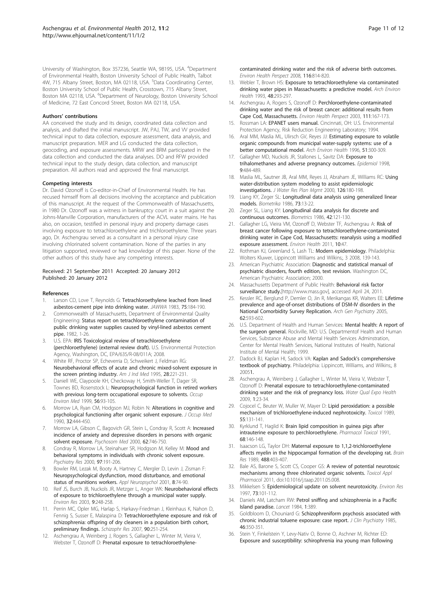<span id="page-10-0"></span>University of Washington, Box 357236, Seattle WA, 98195, USA. <sup>4</sup>Department of Environmental Health, Boston University School of Public Health, Talbot 4W, 715 Albany Street, Boston, MA 02118, USA. <sup>5</sup>Data Coordinating Center, Boston University School of Public Health, Crosstown, 715 Albany Street, Boston MA 02118, USA. <sup>6</sup>Department of Neurology, Boston University School of Medicine, 72 East Concord Street, Boston MA 02118, USA.

#### Authors' contributions

AA conceived the study and its design, coordinated data collection and analysis, and drafted the initial manuscript. JW, PAJ, TW, and W provided technical input to data collection, exposure assessment, data analysis, and manuscript preparation. MER and LG conducted the data collection, geocoding, and exposure assessments. MRW and BRM participated in the data collection and conducted the data analyses. DO and RFW provided technical input to the study design, data collection, and manuscript preparation. All authors read and approved the final manuscript.

#### Competing interests

Dr. David Ozonoff is Co-editor-in-Chief of Environmental Health. He has recused himself from all decisions involving the acceptance and publication of this manuscript. At the request of the Commonwealth of Massachusetts, in 1980 Dr. Ozonoff was a witness in bankruptcy court in a suit against the Johns-Manville Corporation, manufacturers of the ACVL water mains. He has also, on occasion, testified in personal injury and property damage cases involving exposure to tetrachloroethylene and trichloroethylene. Three years ago, Dr. Aschengrau served as a consultant in a personal injury case involving chlorinated solvent contamination. None of the parties in any litigation supported, reviewed or had knowledge of this paper. None of the other authors of this study have any competing interests.

#### Received: 21 September 2011 Accepted: 20 January 2012 Published: 20 January 2012

#### References

- 1. Larson CD, Love T, Reynolds G: Tetrachloroethylene leached from lined asbestos-cement pipe into drinking water. JAWWA 1983, 75:184-190.
- 2. Commonwealth of Massachusetts, Department of Environmental Quality Engineering: Status report on tetrachloroethylene contamination of public drinking water supplies caused by vinyl-lined asbestos cement pipe. 1982, 1-26.
- 3. U.S. EPA: IRIS Toxicological review of tetrachloroethylene (perchloroethylene) (external review draft). U.S. Environmental Protection Agency, Washington, DC, EPA/635/R-08/011A; 2008.
- 4. White RF, Proctor SP, Echeverria D, Schweikert J, Feldman RG: [Neurobehavioral effects of acute and chronic mixed-solvent exposure in](http://www.ncbi.nlm.nih.gov/pubmed/8585519?dopt=Abstract) [the screen printing industry.](http://www.ncbi.nlm.nih.gov/pubmed/8585519?dopt=Abstract) Am J Ind Med 1995, 28:221-231.
- 5. Daniell WE, Claypoole KH, Checkoway H, Smith-Weller T, Dager SR, Townes BD, Rosenstock L: [Neuropsychological function in retired workers](http://www.ncbi.nlm.nih.gov/pubmed/10448313?dopt=Abstract) [with previous long-term occupational exposure to solvents.](http://www.ncbi.nlm.nih.gov/pubmed/10448313?dopt=Abstract) Occup Environ Med 1999, 56:93-105.
- 6. Morrow LA, Ryan CM, Hodgson MJ, Robin N: [Alterations in cognitive and](http://www.ncbi.nlm.nih.gov/pubmed/2348261?dopt=Abstract) [psychological functioning after organic solvent exposure.](http://www.ncbi.nlm.nih.gov/pubmed/2348261?dopt=Abstract) J Occup Med 1990, 32:444-450.
- Morrow LA, Gibson C, Bagovich GR, Stein L, Condray R, Scott A: [Increased](http://www.ncbi.nlm.nih.gov/pubmed/11138992?dopt=Abstract) [incidence of anxiety and depressive disorders in persons with organic](http://www.ncbi.nlm.nih.gov/pubmed/11138992?dopt=Abstract) [solvent exposure.](http://www.ncbi.nlm.nih.gov/pubmed/11138992?dopt=Abstract) Psychosom Med 2000, 62:746-750.
- 8. Condray R, Morrow LA, Steinahuer SR, Hodgson M, Kelley M: [Mood and](http://www.ncbi.nlm.nih.gov/pubmed/11166090?dopt=Abstract) [behavioral symptoms in individuals with chronic solvent exposure.](http://www.ncbi.nlm.nih.gov/pubmed/11166090?dopt=Abstract) Psychiatry Res 2000, 97:191-206.
- 9. Bowler RM, Lezak M, Booty A, Hartney C, Mergler D, Levin J, Zisman F: [Neuropsychological dysfunction, mood disturbance, and emotional](http://www.ncbi.nlm.nih.gov/pubmed/11515244?dopt=Abstract) [status of munitions workers.](http://www.ncbi.nlm.nih.gov/pubmed/11515244?dopt=Abstract) Appl Neuropsychol 2001, 8:74-90.
- 10. Reif JS, Burch JB, Nuckols JR, Metzger L, Anger WK: Neurobehavioral effects of exposure to trichloroethylene through a municipal water supply. Environ Res 2003, 9:248-258.
- 11. Perrin MC, Opler MG, Harlap S, Harkavy-Friedman J, Kleinhaus K, Nahon D, Fennig S, Susser E, Malaspina D: [Tetrachloroethylene exposure and risk of](http://www.ncbi.nlm.nih.gov/pubmed/17113267?dopt=Abstract) [schizophrenia: offspring of dry cleaners in a population birth cohort,](http://www.ncbi.nlm.nih.gov/pubmed/17113267?dopt=Abstract) [preliminary findings.](http://www.ncbi.nlm.nih.gov/pubmed/17113267?dopt=Abstract) Schizophr Res 2007, 90:251-254.
- 12. Aschengrau A, Weinberg J, Rogers S, Gallagher L, Winter M, Vieira V, Webster T, Ozonoff D: [Prenatal exposure to tetrachloroethylene-](http://www.ncbi.nlm.nih.gov/pubmed/18560539?dopt=Abstract)

[contaminated drinking water and the risk of adverse birth outcomes.](http://www.ncbi.nlm.nih.gov/pubmed/18560539?dopt=Abstract) Environ Health Perspect 2008, 116:814-820.

- 13. Webler T, Brown HS: [Exposure to tetrachloroethylene via contaminated](http://www.ncbi.nlm.nih.gov/pubmed/8215592?dopt=Abstract) [drinking water pipes in Massachusetts: a predictive model.](http://www.ncbi.nlm.nih.gov/pubmed/8215592?dopt=Abstract) Arch Environ Health 1993, 48:293-297.
- 14. Aschengrau A, Rogers S, Ozonoff D: [Perchloroethylene-contaminated](http://www.ncbi.nlm.nih.gov/pubmed/12573900?dopt=Abstract) [drinking water and the risk of breast cancer: additional results from](http://www.ncbi.nlm.nih.gov/pubmed/12573900?dopt=Abstract) [Cape Cod, Massachusetts.](http://www.ncbi.nlm.nih.gov/pubmed/12573900?dopt=Abstract) Environ Health Perspect 2003, 111:167-173.
- 15. Rossman LA: EPANET users manual. Cincinnati, OH: U.S. Environmental Protection Agency, Risk Reduction Engineering Laboratory; 1994.
- 16. Aral MM, Maslia ML, Ulirsch GV, Reyes JJ: Estimating [exposure to volatile](http://www.ncbi.nlm.nih.gov/pubmed/8757410?dopt=Abstract) [organic compounds from municipal water-supply systems: use of a](http://www.ncbi.nlm.nih.gov/pubmed/8757410?dopt=Abstract) [better computational model.](http://www.ncbi.nlm.nih.gov/pubmed/8757410?dopt=Abstract) Arch Environ Health 1996, 51:300-309.
- 17. Gallagher MD, Nuckols JR, Stallones L, Savitz DA: Exposure to trihalomethanes and adverse pregnancy outcomes. Epidemiol 1998, 9:484-489.
- 18. Maslia ML, Sautner JB, Aral MM, Reyes JJ, Abraham JE, Williams RC: Using water-distribution system modeling to assist epidemiologic investigations. J Water Res Plan Mgmt 2000, 126:180-198.
- 19. Liang KY, Zeger SL: Longitudinal data analysis using generalized linear models. Biometrika 1986, 73:13-22.
- 20. Zeger SL, Liang KY: [Longitudinal data analysis for discrete and](http://www.ncbi.nlm.nih.gov/pubmed/3719049?dopt=Abstract) [continuous outcomes.](http://www.ncbi.nlm.nih.gov/pubmed/3719049?dopt=Abstract) Biometrics 1986, 42:121-130.
- 21. Gallagher LG, Vieira VM, Ozonoff D, Webster TF, Aschengrau A: [Risk of](http://www.ncbi.nlm.nih.gov/pubmed/21600013?dopt=Abstract) [breast cancer following exposure to tetrachloroethylene-contaminated](http://www.ncbi.nlm.nih.gov/pubmed/21600013?dopt=Abstract) [drinking water in Cape Cod, Massachusetts: reanalysis using a modified](http://www.ncbi.nlm.nih.gov/pubmed/21600013?dopt=Abstract) [exposure assessment.](http://www.ncbi.nlm.nih.gov/pubmed/21600013?dopt=Abstract) Environ Health 2011, 10:47.
- 22. Rothman KJ, Greenland S, Lash TL: Modern epidemiology. Philadelphia: Wolters Kluwer, Lippincott Williams and Wilkins;, 3 2008, 139-143.
- 23. American Psychiatric Association: Diagnostic and statistical manual of psychiatric disorders, fourth edition, text revision. Washington DC, American Psychiatric Association; 2000.
- 24. Massachusetts Department of Public Health: Behavioral risk factor surveillance study.[\[http://www.mass.gov\]](http://www.mass.gov), accessed April 24, 2011.
- 25. Kessler RC, Berglund P, Demler O, Jin R, Merikangas KR, Walters EE: [Lifetime](http://www.ncbi.nlm.nih.gov/pubmed/15939837?dopt=Abstract) [prevalence and age-of-onset distributions of DSM-IV disorders in the](http://www.ncbi.nlm.nih.gov/pubmed/15939837?dopt=Abstract) [National Comorbidity Survey Replication.](http://www.ncbi.nlm.nih.gov/pubmed/15939837?dopt=Abstract) Arch Gen Psychiatry 2005, 62:593-602.
- 26. U.S. Department of Health and Human Services: Mental health: A report of the surgeon general. Rockville, MD: U.S. Departmentof Health and Human Services, Substance Abuse and Mental Health Services Adminstration, Center for Mental Health Services, National Institutes of Health, National Institute of Mental Health; 1999.
- 27. Dadock BJ, Kaplan HI, Sadock VA: Kaplan and Sadock's comprehensive textbook of psychiatry. Philadelphia: Lippincott, Williams, and Wilkins;, 8 20051.
- 28. Aschengrau A, Weinberg J, Gallagher L, Winter M, Vieira V, Webster T, Ozonoff D: [Prenatal exposure to tetrachloroethylene-contaminated](http://www.ncbi.nlm.nih.gov/pubmed/20613966?dopt=Abstract) [drinking water and the risk of pregnancy loss.](http://www.ncbi.nlm.nih.gov/pubmed/20613966?dopt=Abstract) Water Qual Expo Health 2009, 1:23-34.
- 29. Cojocel C, Beuter W, Muller W, Mayer D: Lipid peroxidation: a possible mechanism of trichloroethylene-induced nephrotoxicity. Toxicol 1989, 55:131-141.
- 30. Kyrklund T, Haglid K: [Brain lipid composition in guinea pigs after](http://www.ncbi.nlm.nih.gov/pubmed/1852720?dopt=Abstract) [intrauterine exposure to perchloroethylene.](http://www.ncbi.nlm.nih.gov/pubmed/1852720?dopt=Abstract) Pharmacol Toxicol 1991, 68:146-148.
- 31. Isaacson LG, Taylor DH: [Maternal exposure to 1,1,2-trichloroethylene](http://www.ncbi.nlm.nih.gov/pubmed/2743138?dopt=Abstract) affects [myelin in the hippocampal formation of the developing rat.](http://www.ncbi.nlm.nih.gov/pubmed/2743138?dopt=Abstract) Brain Res 1989, 488:403-407.
- 32. Bale AS, Barone S, Scott CS, Cooper GS: A review of potential neurotoxic mechanisms among three chlorinated organic solvents. Toxicol Appl Pharmacol 2011, doi:10.1016/j.taap.2011.05.008.
- 33. Mikkelsen S: [Epidemiological update on solvent neurotoxicity.](http://www.ncbi.nlm.nih.gov/pubmed/9311536?dopt=Abstract) Environ Res 1997, 73:101-112.
- 34. Daniels AM, Latcham RW: [Petrol sniffing and schizophrenia in a Pacific](http://www.ncbi.nlm.nih.gov/pubmed/6141442?dopt=Abstract) [Island paradise.](http://www.ncbi.nlm.nih.gov/pubmed/6141442?dopt=Abstract) Lancet 1984, 1:389.
- 35. Goldbloom D, Chouniard G: [Schizophreniform psychosis associated with](http://www.ncbi.nlm.nih.gov/pubmed/4019425?dopt=Abstract) [chronic industrial toluene exposure: case report.](http://www.ncbi.nlm.nih.gov/pubmed/4019425?dopt=Abstract) J Clin Psychiatry 1985, 46:350-351.
- 36. Stein Y, Finkelstein Y, Levy-Nativ O, Bonne O, Aschner M, Richter ED: Exposure and susceptibility: schirophrenia ina young man following